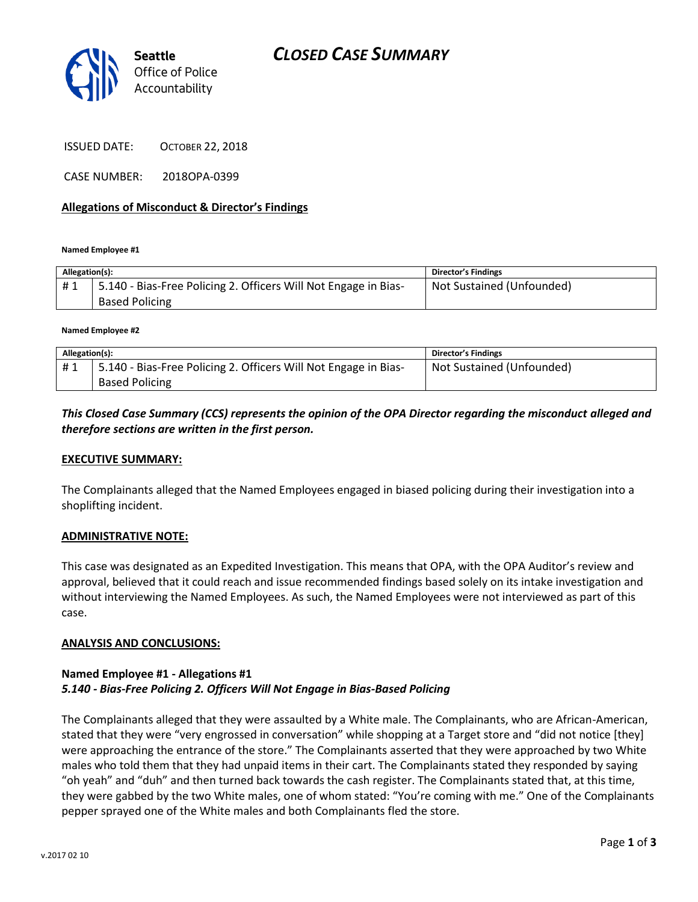



ISSUED DATE: OCTOBER 22, 2018

CASE NUMBER: 2018OPA-0399

### **Allegations of Misconduct & Director's Findings**

**Named Employee #1**

| Allegation(s): |                                                                                           | <b>Director's Findings</b> |
|----------------|-------------------------------------------------------------------------------------------|----------------------------|
| #1             | 15.140 - Bias-Free Policing 2. Officers Will Not Engage in Bias-<br><b>Based Policing</b> | Not Sustained (Unfounded)  |

**Named Employee #2**

| Allegation(s): |                                                                 | <b>Director's Findings</b> |
|----------------|-----------------------------------------------------------------|----------------------------|
| #1             | 5.140 - Bias-Free Policing 2. Officers Will Not Engage in Bias- | Not Sustained (Unfounded)  |
|                | <b>Based Policing</b>                                           |                            |

*This Closed Case Summary (CCS) represents the opinion of the OPA Director regarding the misconduct alleged and therefore sections are written in the first person.* 

#### **EXECUTIVE SUMMARY:**

The Complainants alleged that the Named Employees engaged in biased policing during their investigation into a shoplifting incident.

#### **ADMINISTRATIVE NOTE:**

This case was designated as an Expedited Investigation. This means that OPA, with the OPA Auditor's review and approval, believed that it could reach and issue recommended findings based solely on its intake investigation and without interviewing the Named Employees. As such, the Named Employees were not interviewed as part of this case.

#### **ANALYSIS AND CONCLUSIONS:**

## **Named Employee #1 - Allegations #1** *5.140 - Bias-Free Policing 2. Officers Will Not Engage in Bias-Based Policing*

The Complainants alleged that they were assaulted by a White male. The Complainants, who are African-American, stated that they were "very engrossed in conversation" while shopping at a Target store and "did not notice [they] were approaching the entrance of the store." The Complainants asserted that they were approached by two White males who told them that they had unpaid items in their cart. The Complainants stated they responded by saying "oh yeah" and "duh" and then turned back towards the cash register. The Complainants stated that, at this time, they were gabbed by the two White males, one of whom stated: "You're coming with me." One of the Complainants pepper sprayed one of the White males and both Complainants fled the store.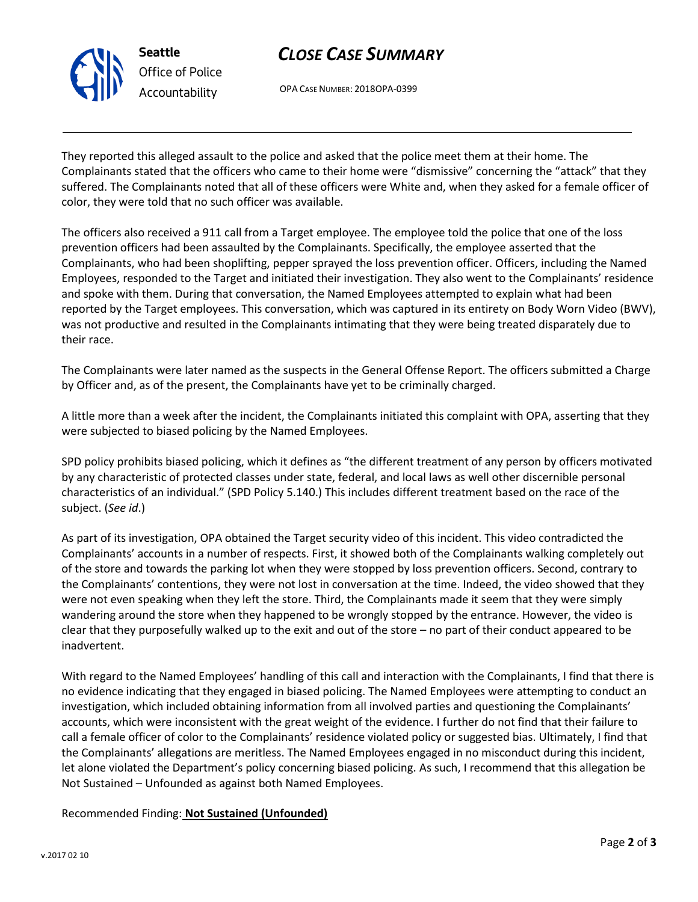



OPA CASE NUMBER: 2018OPA-0399

They reported this alleged assault to the police and asked that the police meet them at their home. The Complainants stated that the officers who came to their home were "dismissive" concerning the "attack" that they suffered. The Complainants noted that all of these officers were White and, when they asked for a female officer of color, they were told that no such officer was available.

The officers also received a 911 call from a Target employee. The employee told the police that one of the loss prevention officers had been assaulted by the Complainants. Specifically, the employee asserted that the Complainants, who had been shoplifting, pepper sprayed the loss prevention officer. Officers, including the Named Employees, responded to the Target and initiated their investigation. They also went to the Complainants' residence and spoke with them. During that conversation, the Named Employees attempted to explain what had been reported by the Target employees. This conversation, which was captured in its entirety on Body Worn Video (BWV), was not productive and resulted in the Complainants intimating that they were being treated disparately due to their race.

The Complainants were later named as the suspects in the General Offense Report. The officers submitted a Charge by Officer and, as of the present, the Complainants have yet to be criminally charged.

A little more than a week after the incident, the Complainants initiated this complaint with OPA, asserting that they were subjected to biased policing by the Named Employees.

SPD policy prohibits biased policing, which it defines as "the different treatment of any person by officers motivated by any characteristic of protected classes under state, federal, and local laws as well other discernible personal characteristics of an individual." (SPD Policy 5.140.) This includes different treatment based on the race of the subject. (*See id*.)

As part of its investigation, OPA obtained the Target security video of this incident. This video contradicted the Complainants' accounts in a number of respects. First, it showed both of the Complainants walking completely out of the store and towards the parking lot when they were stopped by loss prevention officers. Second, contrary to the Complainants' contentions, they were not lost in conversation at the time. Indeed, the video showed that they were not even speaking when they left the store. Third, the Complainants made it seem that they were simply wandering around the store when they happened to be wrongly stopped by the entrance. However, the video is clear that they purposefully walked up to the exit and out of the store – no part of their conduct appeared to be inadvertent.

With regard to the Named Employees' handling of this call and interaction with the Complainants, I find that there is no evidence indicating that they engaged in biased policing. The Named Employees were attempting to conduct an investigation, which included obtaining information from all involved parties and questioning the Complainants' accounts, which were inconsistent with the great weight of the evidence. I further do not find that their failure to call a female officer of color to the Complainants' residence violated policy or suggested bias. Ultimately, I find that the Complainants' allegations are meritless. The Named Employees engaged in no misconduct during this incident, let alone violated the Department's policy concerning biased policing. As such, I recommend that this allegation be Not Sustained – Unfounded as against both Named Employees.

Recommended Finding: **Not Sustained (Unfounded)**